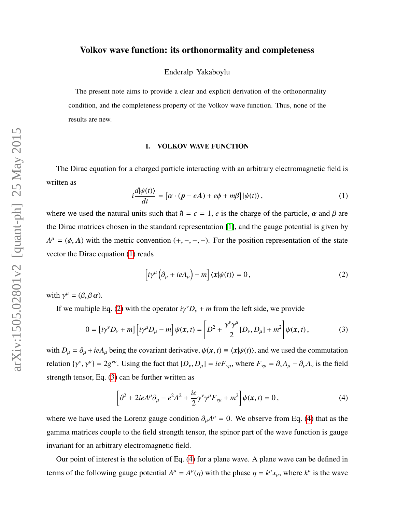# Volkov wave function: its orthonormality and completeness

Enderalp Yakaboylu

The present note aims to provide a clear and explicit derivation of the orthonormality condition, and the completeness property of the Volkov wave function. Thus, none of the results are new.

## I. VOLKOV WAVE FUNCTION

The Dirac equation for a charged particle interacting with an arbitrary electromagnetic field is written as

<span id="page-0-0"></span>
$$
i\frac{d|\psi(t)\rangle}{dt} = \left[\alpha \cdot (\boldsymbol{p} - e\boldsymbol{A}) + e\phi + m\beta\right] |\psi(t)\rangle, \qquad (1)
$$

where we used the natural units such that  $\hbar = c = 1$ , *e* is the charge of the particle,  $\alpha$  and  $\beta$  are the Dirac matrices chosen in the standard representation [\[1\]](#page-9-0), and the gauge potential is given by  $A^{\mu} = (\phi, A)$  with the metric convention  $(+, -, -, -)$ . For the position representation of the state vector the Dirac equation [\(1\)](#page-0-0) reads

<span id="page-0-1"></span>
$$
\left[i\gamma^{\mu}\left(\partial_{\mu} + ieA_{\mu}\right) - m\right]\langle x|\psi(t)\rangle = 0, \qquad (2)
$$

with  $\gamma^{\mu} = (\beta, \beta \alpha)$ .

If we multiple Eq. [\(2\)](#page-0-1) with the operator  $i\gamma^{\gamma}D_{\gamma} + m$  from the left side, we provide

<span id="page-0-2"></span>
$$
0 = [i\gamma^{\nu}D_{\nu} + m][i\gamma^{\mu}D_{\mu} - m]\psi(x, t) = \left[D^2 + \frac{\gamma^{\nu}\gamma^{\mu}}{2}[D_{\nu}, D_{\mu}] + m^2\right]\psi(x, t),
$$
 (3)

with  $D_{\mu} = \partial_{\mu} + ieA_{\mu}$  being the covariant derivative,  $\psi(x, t) \equiv \langle x | \psi(t) \rangle$ , and we used the commutation relation  $\{\gamma^{\nu}, \gamma^{\mu}\} = 2g^{\nu\mu}$ . Using the fact that  $[D_{\nu}, D_{\mu}] = ieF_{\nu\mu}$ , where  $F_{\nu\mu} = \partial_{\nu}A_{\mu} - \partial_{\mu}A_{\nu}$  is the field strength tensor, Eq. [\(3\)](#page-0-2) can be further written as

<span id="page-0-3"></span>
$$
\left[\partial^2 + 2ieA^{\mu}\partial_{\mu} - e^2A^2 + \frac{ie}{2}\gamma^{\nu}\gamma^{\mu}F_{\nu\mu} + m^2\right]\psi(x,t) = 0,
$$
\n(4)

where we have used the Lorenz gauge condition  $\partial_{\mu}A^{\mu} = 0$ . We observe from Eq. [\(4\)](#page-0-3) that as the gamma matrices couple to the field strength tensor, the spinor part of the wave function is gauge invariant for an arbitrary electromagnetic field.

Our point of interest is the solution of Eq. [\(4\)](#page-0-3) for a plane wave. A plane wave can be defined in terms of the following gauge potential  $A^{\mu} = A^{\mu}(\eta)$  with the phase  $\eta = k^{\mu}x_{\mu}$ , where  $k^{\mu}$  is the wave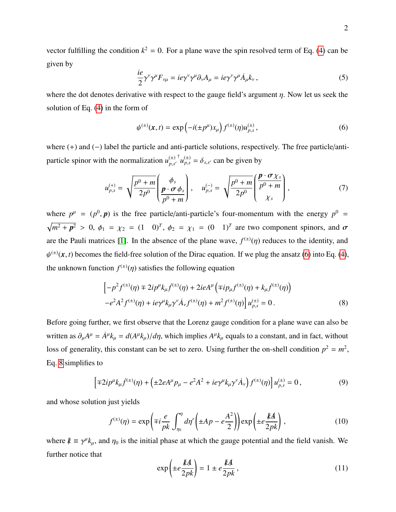vector fulfilling the condition  $k^2 = 0$ . For a plane wave the spin resolved term of Eq. [\(4\)](#page-0-3) can be given by

$$
\frac{ie}{2}\gamma^{\nu}\gamma^{\mu}F_{\nu\mu} = ie\gamma^{\nu}\gamma^{\mu}\partial_{\nu}A_{\mu} = ie\gamma^{\nu}\gamma^{\mu}\dot{A}_{\mu}k_{\nu},\tag{5}
$$

where the dot denotes derivative with respect to the gauge field's argument  $\eta$ . Now let us seek the solution of Eq. [\(4\)](#page-0-3) in the form of

<span id="page-1-0"></span>
$$
\psi^{(\pm)}(x,t) = \exp\left(-i(\pm p^{\mu})x_{\mu}\right) f^{(\pm)}(\eta) u_{p,s}^{(\pm)}, \tag{6}
$$

where (+) and (−) label the particle and anti-particle solutions, respectively. The free particle/antiparticle spinor with the normalization  $u_{n,s}^{(\pm)}$ *p*,*s* 0  $\int_a^{\dagger} u_{p,s}^{(\pm)} = \delta_{s,s'}$  can be given by

$$
u_{p,s}^{(+)} = \sqrt{\frac{p^0 + m}{2p^0}} \left( \frac{\phi_s}{p \cdot \sigma \phi_s} \right), \quad u_{p,s}^{(-)} = \sqrt{\frac{p^0 + m}{2p^0}} \left( \frac{p \cdot \sigma \chi_s}{p^0 + m} \right), \tag{7}
$$

where  $p^{\mu} = (p^0, p)$  is the free particle/anti-particle's four-momentum with the energy  $p^0 =$  $\sqrt{m^2 + p^2} > 0$ ,  $\phi_1 = \chi_2 = (1 \ 0)^T$ ,  $\phi_2 = \chi_1 = (0 \ 1)^T$  are two component spinors, and  $\sigma$ are the Pauli matrices [\[1\]](#page-9-0). In the absence of the plane wave,  $f^{(\pm)}(\eta)$  reduces to the identity, and ψ  $^{(+)}(x, t)$  becomes the field-free solution of the Dirac equation. If we plug the ansatz [\(6\)](#page-1-0) into Eq. [\(4\)](#page-0-3), the unknown function  $f^{(\pm)}(\eta)$  satisfies the following equation

<span id="page-1-1"></span>
$$
\left[ -p^{2} f^{(\pm)}(\eta) \mp 2ip^{\mu} k_{\mu} \dot{f}^{(\pm)}(\eta) + 2ieA^{\mu} \left( \mp i p_{\mu} f^{(\pm)}(\eta) + k_{\mu} \dot{f}^{(\pm)}(\eta) \right) \right.-e^{2} A^{2} f^{(\pm)}(\eta) + i e \gamma^{\mu} k_{\mu} \gamma^{\nu} \dot{A}_{\nu} f^{(\pm)}(\eta) + m^{2} f^{(\pm)}(\eta) \right] u_{p,s}^{(\pm)} = 0.
$$
\n(8)

Before going further, we first observe that the Lorenz gauge condition for a plane wave can also be written as  $\partial_{\mu}A^{\mu} = \dot{A}^{\mu}k_{\mu} = d(A^{\mu}k_{\mu})/d\eta$ , which implies  $A^{\mu}k_{\mu}$  equals to a constant, and in fact, without loss of generality, this constant can be set to zero. Using further the on-shell condition  $p^2 = m^2$ , Eq. [8](#page-1-1) simplifies to

$$
\left[\mp 2ip^{\mu}k_{\mu}j^{(\pm)}(\eta) + \left(\pm 2eA^{\mu}p_{\mu} - e^{2}A^{2} + ie\gamma^{\mu}k_{\mu}\gamma^{\nu}A_{\nu}\right)f^{(\pm)}(\eta)\right]u_{p,s}^{(\pm)} = 0,
$$
\n(9)

and whose solution just yields

$$
f^{(\pm)}(\eta) = \exp\left(\mp i \frac{e}{pk} \int_{\eta_0}^{\eta} d\eta' \left(\pm Ap - e\frac{A^2}{2}\right)\right) \exp\left(\pm e\frac{kA}{2pk}\right),\tag{10}
$$

where  $k \equiv \gamma^{\mu} k_{\mu}$ , and  $\eta_0$  is the initial phase at which the gauge potential and the field vanish. We further notice that

$$
\exp\left(\pm e \frac{kA}{2pk}\right) = 1 \pm e \frac{kA}{2pk},\tag{11}
$$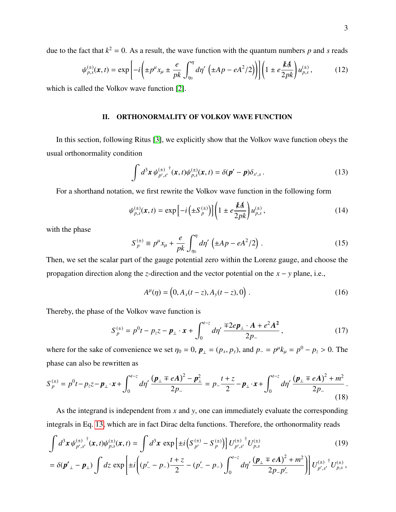due to the fact that  $k^2 = 0$ . As a result, the wave function with the quantum numbers p and s reads

$$
\psi_{p,s}^{(\pm)}(\mathbf{x},t) = \exp\left[-i\left(\pm p^{\mu}x_{\mu} \pm \frac{e}{pk}\int_{\eta_0}^{\eta}d\eta'\left(\pm Ap - eA^2/2\right)\right)\right]\left(1 \pm e\frac{kA}{2pk}\right)u_{p,s}^{(\pm)},\tag{12}
$$

which is called the Volkov wave function [\[2\]](#page-9-1).

## II. ORTHONORMALITY OF VOLKOV WAVE FUNCTION

In this section, following Ritus [\[3\]](#page-9-2), we explicitly show that the Volkov wave function obeys the usual orthonormality condition

<span id="page-2-0"></span>
$$
\int d^3x \,\psi_{p',s'}^{(\pm)}^\dagger(x,t)\psi_{p,s}^{(\pm)}(x,t) = \delta(p'-p)\delta_{s',s} \,. \tag{13}
$$

For a shorthand notation, we first rewrite the Volkov wave function in the following form

<span id="page-2-1"></span>
$$
\psi_{p,s}^{(\pm)}(\mathbf{x},t) = \exp\left[-i\left(\pm S_p^{(\pm)}\right)\right] \left(1 \pm e \frac{kA}{2pk}\right) u_{p,s}^{(\pm)},\tag{14}
$$

with the phase

$$
S_p^{(\pm)} \equiv p^{\mu} x_{\mu} + \frac{e}{pk} \int_{\eta_0}^{\eta} d\eta' \left( \pm Ap - eA^2/2 \right). \tag{15}
$$

Then, we set the scalar part of the gauge potential zero within the Lorenz gauge, and choose the propagation direction along the *z*-direction and the vector potential on the *x* − *y* plane, i.e.,

$$
A^{\mu}(\eta) = (0, A_x(t-z), A_y(t-z), 0).
$$
 (16)

Thereby, the phase of the Volkov wave function is

$$
S_p^{(\pm)} = p^0 t - p_z z - \boldsymbol{p}_\perp \cdot \boldsymbol{x} + \int_0^{t-z} d\eta' \frac{\mp 2e \boldsymbol{p}_\perp \cdot \boldsymbol{A} + e^2 \boldsymbol{A}^2}{2p_-},
$$
(17)

where for the sake of convenience we set  $\eta_0 = 0$ ,  $\mathbf{p}_{\perp} = (p_x, p_y)$ , and  $p_{-} = p^{\mu}k_{\mu} = p^0 - p_z > 0$ . The phase can also be rewritten as

<span id="page-2-2"></span>
$$
S_{p}^{(\pm)} = p^{0}t - p_{z}z - \boldsymbol{p}_{\perp} \cdot \boldsymbol{x} + \int_{0}^{t-z} d\eta' \, \frac{(\boldsymbol{p}_{\perp} \mp e\boldsymbol{A})^{2} - \boldsymbol{p}_{\perp}^{2}}{2p_{-}} = p_{-} \frac{t+z}{2} - \boldsymbol{p}_{\perp} \cdot \boldsymbol{x} + \int_{0}^{t-z} d\eta' \, \frac{(\boldsymbol{p}_{\perp} \mp e\boldsymbol{A})^{2} + m^{2}}{2p_{-}} \, . \tag{18}
$$

As the integrand is independent from *x* and *y*, one can immediately evaluate the corresponding integrals in Eq. [13,](#page-2-0) which are in fact Dirac delta functions. Therefore, the orthonormality reads

$$
\int d^3x \,\psi_{p',s'}^{(\pm)}{}^{\dagger}(x,t)\psi_{p,s}^{(\pm)}(x,t) = \int d^3x \, \exp\left[\pm i\left(S_{p'}^{(\pm)} - S_{p'}^{(\pm)}\right)\right]U_{p',s'}^{(\pm)}U_{p,s}^{(\pm)} \tag{19}
$$

$$
= \delta(\pmb{p'}_\perp - \pmb{p}_\perp) \int dz \, \exp\left[\pm i \left((p'_- - p_-)\frac{t+z}{2} - (p'_- - p_-)\int_0^{t-z} d\eta' \frac{(\pmb{p}_\perp \mp e\pmb{A})^2 + m^2}{2p_- p'_-}\right)\right] U_{p',s'}^{(\pm)} U_{p,s}^{(\pm)},
$$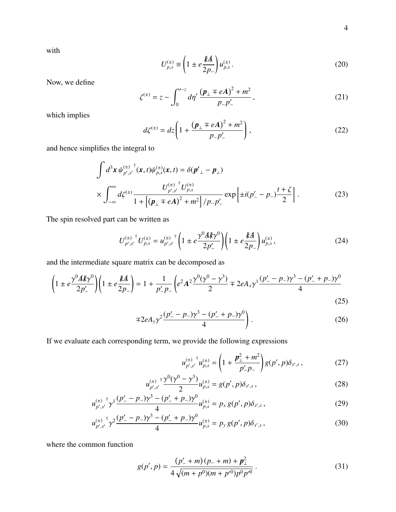with

$$
U_{p,s}^{(\pm)} \equiv \left(1 \pm e \frac{kA}{2p_{-}}\right) u_{p,s}^{(\pm)}.
$$
 (20)

Now, we define

$$
\zeta^{(\pm)} = z - \int_0^{t-z} d\eta' \, \frac{(\mathbf{p}_\perp \mp e\mathbf{A})^2 + m^2}{p_- p'_-} \,,\tag{21}
$$

which implies

<span id="page-3-0"></span>
$$
d\zeta^{(\pm)} = dz \left( 1 + \frac{(p_{\perp} \mp eA)^2 + m^2}{p_{-}p'_{-}} \right),
$$
 (22)

and hence simplifies the integral to

$$
\int d^3x \psi_{p',s'}^{(\pm)}(\mathbf{x},t)\psi_{p,s}^{(\pm)}(\mathbf{x},t) = \delta(\mathbf{p'}_{\perp} - \mathbf{p}_{\perp})
$$
\n
$$
\times \int_{-\infty}^{\infty} d\zeta^{(\pm)} \frac{U_{p',s'}^{(\pm)} U_{p,s}^{(\pm)}}{1 + \left[ (\mathbf{p}_{\perp} \mp e\mathbf{A})^2 + m^2 \right] / p_{-} p'_{-}} \exp\left[ \pm i(p'_{-} - p_{-}) \frac{t + \zeta}{2} \right].
$$
\n(23)

The spin resolved part can be written as

$$
U_{p',s'}^{(\pm)}^{\dagger} U_{p,s}^{(\pm)} = u_{p',s'}^{(\pm)}^{\dagger} \left( 1 \pm e \frac{\gamma^0 A k \gamma^0}{2p'_-} \right) \left( 1 \pm e \frac{k A}{2p_-} \right) u_{p,s}^{(\pm)}, \tag{24}
$$

and the intermediate square matrix can be decomposed as

$$
\left(1 \pm e \frac{\gamma^0 A k \gamma^0}{2p'_-}\right) \left(1 \pm e \frac{kA}{2p_-}\right) = 1 + \frac{1}{p'_- p_-} \left(e^2 A^2 \frac{\gamma^0 (\gamma^0 - \gamma^3)}{2} \mp 2e A_x \gamma^1 \frac{(p'_- - p_-)\gamma^3 - (p'_- + p_-)\gamma^0}{4}\right) \tag{25}
$$

$$
\mp 2eA_{y}\gamma^{2}\frac{(p'_{-}-p_{-})\gamma^{3}-(p'_{-}+p_{-})\gamma^{0}}{4}\bigg). \tag{26}
$$

If we evaluate each corresponding term, we provide the following expressions

$$
u_{p',s'}^{(\pm)} u_{p,s}^{(\pm)} = \left(1 + \frac{p_{\perp}^2 + m^2}{p'_{-} p_{-}}\right) g(p',p) \delta_{s',s} ,\qquad (27)
$$

$$
u_{p',s'}^{(\pm)} \frac{\gamma^0 (\gamma^0 - \gamma^3)}{2} u_{p,s}^{(\pm)} = g(p',p) \delta_{s',s} \,, \tag{28}
$$

$$
u_{p',s'}^{(\pm)} \gamma^1 \frac{(p'_- - p_-)\gamma^3 - (p'_- + p_-)\gamma^0}{4} u_{p,s}^{(\pm)} = p_x g(p',p) \delta_{s',s} ,
$$
 (29)

$$
u_{p',s'}^{(\pm)} \gamma^2 \frac{(p'_- - p_-)\gamma^3 - (p'_- + p_-)\gamma^0}{4} u_{p,s}^{(\pm)} = p_{\gamma} g(p',p) \delta_{s',s} , \qquad (30)
$$

where the common function

$$
g(p', p) = \frac{(p'_{-} + m)(p_{-} + m) + p_{\perp}^{2}}{4\sqrt{(m + p^{0})(m + p'^{0})p^{0}p'^{0}}}.
$$
\n(31)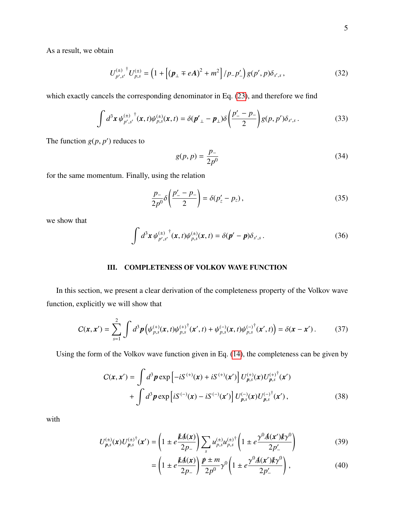As a result, we obtain

$$
U_{p',s'}^{(\pm)} U_{p,s}^{(\pm)} = \left(1 + \left[ (\pmb{p}_\perp \mp e\mathbf{A})^2 + m^2 \right] / p_- p'_-\right) g(p',p) \delta_{s',s} ,\qquad (32)
$$

which exactly cancels the corresponding denominator in Eq.  $(23)$ , and therefore we find

$$
\int d^3x \, \psi_{p',s'}^{(\pm)}^{\dagger}(\mathbf{x},t) \psi_{p,s}^{(\pm)}(\mathbf{x},t) = \delta(\mathbf{p'}_{\perp} - \mathbf{p}_{\perp}) \delta\left(\frac{p'_{-} - p_{-}}{2}\right) g(p,p') \delta_{s',s} \,. \tag{33}
$$

The function  $g(p, p')$  reduces to

$$
g(p, p) = \frac{p_{-}}{2p^{0}}
$$
 (34)

for the same momentum. Finally, using the relation

$$
\frac{p_{-}}{2p^{0}}\delta\left(\frac{p'_{-}-p_{-}}{2}\right)=\delta(p'_{z}-p_{z}),
$$
\n(35)

we show that

$$
\int d^3x \, \psi_{p',s'}^{(\pm)}^{\dagger}(\mathbf{x},t) \psi_{p,s}^{(\pm)}(\mathbf{x},t) = \delta(\mathbf{p}'-\mathbf{p}) \delta_{s',s} \,. \tag{36}
$$

# III. COMPLETENESS OF VOLKOV WAVE FUNCTION

In this section, we present a clear derivation of the completeness property of the Volkov wave function, explicitly we will show that

$$
C(\mathbf{x}, \mathbf{x}') = \sum_{s=1}^{2} \int d^3 \mathbf{p} \left( \psi_{p,s}^{(+)}(\mathbf{x}, t) \psi_{p,s}^{(+)}^{\dagger}(\mathbf{x}', t) + \psi_{p,s}^{(-)}(\mathbf{x}, t) \psi_{p,s}^{(-)}^{\dagger}(\mathbf{x}', t) \right) = \delta(\mathbf{x} - \mathbf{x}'). \tag{37}
$$

Using the form of the Volkov wave function given in Eq. [\(14\)](#page-2-1), the completeness can be given by

$$
C(\mathbf{x}, \mathbf{x}') = \int d^3 p \exp \left[ -iS^{(+)}(\mathbf{x}) + iS^{(+)}(\mathbf{x}') \right] U_{p,s}^{(+)}(\mathbf{x}) U_{p,s}^{(+)}(\mathbf{x}')
$$
  
+ 
$$
\int d^3 p \exp \left[ iS^{(-)}(\mathbf{x}) - iS^{(-)}(\mathbf{x}') \right] U_{p,s}^{(-)}(\mathbf{x}) U_{p,s}^{(-)}(\mathbf{x}'),
$$
 (38)

with

$$
U_{p,s}^{(\pm)}(\mathbf{x})U_{p,s}^{(\pm)^{\dagger}}(\mathbf{x}') = \left(1 \pm e^{\frac{k}{2}\mathbf{A}(\mathbf{x})}\right) \sum_{s} u_{p,s}^{(\pm)} u_{p,s}^{(\pm)^{\dagger}} \left(1 \pm e^{\frac{\gamma^0 \mathbf{A}(\mathbf{x}') k \gamma^0}{2p'_-}}\right)
$$
(39)

<span id="page-4-0"></span>
$$
= \left(1 \pm e^{\frac{kA(x)}{2p_{-}}}\right) \frac{p \pm m}{2p^{0}} \gamma^{0} \left(1 \pm e^{\frac{\gamma^{0}A(x')k\gamma^{0}}{2p'_{-}}}\right), \qquad (40)
$$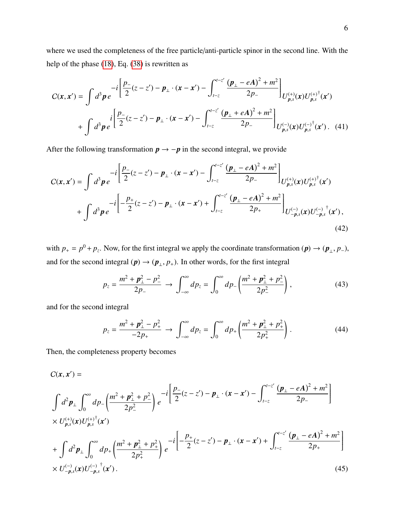where we used the completeness of the free particle/anti-particle spinor in the second line. With the help of the phase [\(18\)](#page-2-2), Eq. [\(38\)](#page-4-0) is rewritten as

$$
C(\mathbf{x}, \mathbf{x}') = \int d^3 \mathbf{p} e^{-i \left[ \frac{p_-}{2} (z - z') - \mathbf{p}_\perp \cdot (\mathbf{x} - \mathbf{x}') - \int_{t-z}^{t-z'} \frac{(\mathbf{p}_\perp - eA)^2 + m^2}{2p_-} \right]} U_{p,s}^{(+)}(\mathbf{x}) U_{p,s}^{(+)}(\mathbf{x}') + \int d^3 \mathbf{p} e^{-i \left[ \frac{p_-}{2} (z - z') - \mathbf{p}_\perp \cdot (\mathbf{x} - \mathbf{x}') - \int_{t-z}^{t-z'} \frac{(\mathbf{p}_\perp + eA)^2 + m^2}{2p_-} \right]} U_{p,s}^{(-)}(\mathbf{x}) U_{p,s}^{(-)}(\mathbf{x}')
$$
 (41)

After the following transformation  $p \rightarrow -p$  in the second integral, we provide

$$
C(\mathbf{x}, \mathbf{x}') = \int d^3 \mathbf{p} e^{-i \left[ \frac{p_-}{2} (z - z') - \mathbf{p}_\perp \cdot (\mathbf{x} - \mathbf{x}') - \int_{t-z}^{t-z'} \frac{(\mathbf{p}_\perp - e\mathbf{A})^2 + m^2}{2p_-} \right]_{U_{p,s}^{(+)}(\mathbf{x}) U_{p,s}^{(+)}(\mathbf{x}')} + \int d^3 \mathbf{p} e^{-i \left[ -\frac{p_+}{2} (z - z') - \mathbf{p}_\perp \cdot (\mathbf{x} - \mathbf{x}') + \int_{t-z}^{t-z'} \frac{(\mathbf{p}_\perp - e\mathbf{A})^2 + m^2}{2p_+} \right]_{U_{-p,s}^{(-)}(\mathbf{x}) U_{-p,s}^{(-)}(\mathbf{x}'),
$$
\n(42)

with  $p_+ = p^0 + p_z$ . Now, for the first integral we apply the coordinate transformation ( $p$ )  $\rightarrow$  ( $p_\perp$ ,  $p_-$ ), and for the second integral  $(p) \rightarrow (p_{\perp}, p_{+})$ . In other words, for the first integral

$$
p_z = \frac{m^2 + p_\perp^2 - p_\perp^2}{2p_-} \to \int_{-\infty}^{\infty} dp_z = \int_0^{\infty} dp_- \left( \frac{m^2 + p_\perp^2 + p_\perp^2}{2p_-^2} \right), \tag{43}
$$

and for the second integral

$$
p_z = \frac{m^2 + p_\perp^2 - p_+^2}{-2p_+} \to \int_{-\infty}^{\infty} dp_z = \int_0^{\infty} dp_+ \left( \frac{m^2 + p_\perp^2 + p_+^2}{2p_+^2} \right). \tag{44}
$$

Then, the completeness property becomes

$$
C(\mathbf{x}, \mathbf{x}') =
$$
\n
$$
\int d^{2} \mathbf{p}_{\perp} \int_{0}^{\infty} d \mathbf{p}_{-} \left( \frac{m^{2} + p_{\perp}^{2} + p_{-}^{2}}{2 p_{-}^{2}} \right) e^{-i \left[ \frac{p_{-}}{2} (z - z') - \mathbf{p}_{\perp} \cdot (\mathbf{x} - \mathbf{x}') - \int_{t-z}^{t-z'} \frac{(\mathbf{p}_{\perp} - e\mathbf{A})^{2} + m^{2}}{2 p_{-}} \right]}
$$
\n
$$
\times U_{p,s}^{(+)}(\mathbf{x}) U_{p,s}^{(+)}(\mathbf{x}')
$$
\n
$$
+ \int d^{2} \mathbf{p}_{\perp} \int_{0}^{\infty} d \mathbf{p}_{+} \left( \frac{m^{2} + p_{\perp}^{2} + p_{+}^{2}}{2 p_{+}^{2}} \right) e^{-i \left[ -\frac{p_{+}}{2} (z - z') - \mathbf{p}_{\perp} \cdot (\mathbf{x} - \mathbf{x}') + \int_{t-z}^{t-z'} \frac{(\mathbf{p}_{\perp} - e\mathbf{A})^{2} + m^{2}}{2 p_{+}} \right]}
$$
\n
$$
\times U_{-p,s}^{(-)}(\mathbf{x}) U_{-p,s}^{(-)}(\mathbf{x}'). \tag{45}
$$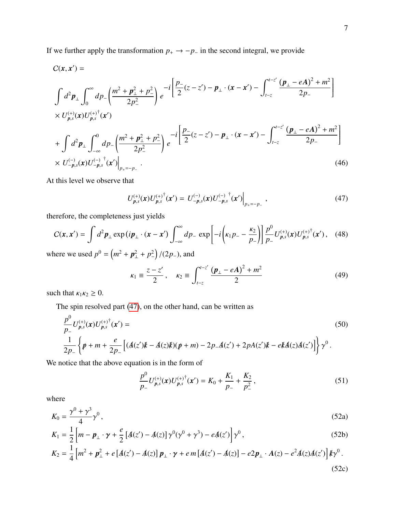If we further apply the transformation  $p_+ \rightarrow -p_-$  in the second integral, we provide

$$
C(\mathbf{x}, \mathbf{x}') =
$$
\n
$$
\int d^{2} \mathbf{p}_{\perp} \int_{0}^{\infty} d p_{-} \left( \frac{m^{2} + p_{\perp}^{2} + p_{-}^{2}}{2 p_{-}^{2}} \right) e^{-i \left[ \frac{p_{-}}{2} (z - z') - p_{\perp} \cdot (\mathbf{x} - \mathbf{x}') - \int_{t-z}^{t-z'} \frac{(p_{\perp} - eA)^{2} + m^{2}}{2 p_{-}} \right]}
$$
\n
$$
\times U_{p,s}^{(+)}(\mathbf{x}) U_{p,s}^{(+)}(\mathbf{x}')
$$
\n
$$
+ \int d^{2} \mathbf{p}_{\perp} \int_{-\infty}^{0} d p_{-} \left( \frac{m^{2} + p_{\perp}^{2} + p_{-}^{2}}{2 p_{-}^{2}} \right) e^{-i \left[ \frac{p_{-}}{2} (z - z') - p_{\perp} \cdot (\mathbf{x} - \mathbf{x}') - \int_{t-z}^{t-z'} \frac{(p_{\perp} - eA)^{2} + m^{2}}{2 p_{-}} \right]}
$$
\n
$$
\times U_{-p,s}^{(-)}(\mathbf{x}) U_{-p,s}^{(-)}(\mathbf{x}') \Big|_{p_{+}=-p_{-}}.
$$
\n(46)

At this level we observe that

<span id="page-6-0"></span>
$$
U_{p,s}^{(+)}(\mathbf{x})U_{p,s}^{(+)}^{\dagger}(\mathbf{x}') = U_{-p,s}^{(-)}(\mathbf{x})U_{-p,s}^{(-)}^{\dagger}(\mathbf{x}')\Big|_{p_{+}=-p_{-}} , \qquad (47)
$$

therefore, the completeness just yields

$$
C(x, x') = \int d^2 p_{\perp} \exp(i p_{\perp} \cdot (x - x') \int_{-\infty}^{\infty} dp_{-} \exp\left[-i \left(k_{1} p_{-} - \frac{k_{2}}{p_{-}}\right)\right] \frac{p^{0}}{p_{-}} U_{p,s}^{(+)}(x) U_{p,s}^{(+)}(x'), \quad (48)
$$

where we used  $p^0 = (m^2 + p_\perp^2 + p_\perp^2)/(2p_-)$ , and

$$
\kappa_1 \equiv \frac{z - z'}{2}, \quad \kappa_2 \equiv \int_{t-z}^{t-z'} \frac{(\mathbf{p}_\perp - e\mathbf{A})^2 + m^2}{2} \tag{49}
$$

such that  $\kappa_1 \kappa_2 \geq 0$ .

The spin resolved part [\(47\)](#page-6-0), on the other hand, can be written as

$$
\frac{p^{0}}{p_{-}}U_{p,s}^{(+)}(x)U_{p,s}^{(+)}^{\dagger}(x') =
$$
\n
$$
\frac{1}{2p_{-}}\left\{\psi+m+\frac{e}{2p_{-}}\left[(A(z')k-A(z)k)(\psi+m)-2p_{-}A(z')+2pA(z')k-ekA(z)A(z')\right]\right\}\gamma^{0}.
$$
\n(50)

We notice that the above equation is in the form of

$$
\frac{p^0}{p_-} U_{p,s}^{(+)}(\mathbf{x}) U_{p,s}^{(+)}^{\dagger}(\mathbf{x}') = K_0 + \frac{K_1}{p_-} + \frac{K_2}{p_-^2},\tag{51}
$$

where

$$
K_0 = \frac{\gamma^0 + \gamma^3}{4} \gamma^0 \,, \tag{52a}
$$

$$
K_1 = \frac{1}{2} \left[ m - \boldsymbol{p}_\perp \cdot \boldsymbol{\gamma} + \frac{e}{2} \left[ A(z') - A(z) \right] \gamma^0 (\gamma^0 + \gamma^3) - eA(z') \right] \gamma^0 , \qquad (52b)
$$

$$
K_2 = \frac{1}{4} \left[ m^2 + p_\perp^2 + e \left[ A(z') - A(z) \right] p_\perp \cdot \gamma + e \, m \left[ A(z') - A(z) \right] - e^2 p_\perp \cdot A(z) - e^2 A(z) A(z') \right] k \gamma^0 \,. \tag{52c}
$$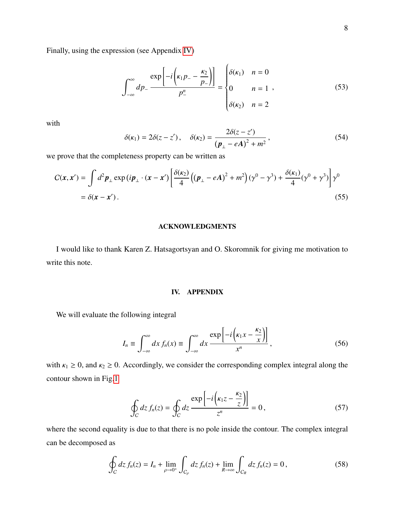Finally, using the expression (see Appendix [IV\)](#page-7-0)

$$
\int_{-\infty}^{\infty} dp_{-} \frac{\exp\left[-i\left(\kappa_{1}p_{-} - \frac{\kappa_{2}}{p_{-}}\right)\right]}{p_{-}^{n}} = \begin{cases} \delta(\kappa_{1}) & n = 0\\ 0 & n = 1 \end{cases}
$$
 (53)

 $\overline{\phantom{a}}$ 

with

$$
\delta(\kappa_1) = 2\delta(z - z'), \quad \delta(\kappa_2) = \frac{2\delta(z - z')}{(\pmb{p}_\perp - e\pmb{A})^2 + m^2},\tag{54}
$$

we prove that the completeness property can be written as

$$
C(\mathbf{x}, \mathbf{x}') = \int d^2 \mathbf{p}_\perp \exp(i\mathbf{p}_\perp \cdot (\mathbf{x} - \mathbf{x}') \left[ \frac{\delta(\kappa_2)}{4} \left( (\mathbf{p}_\perp - e\mathbf{A})^2 + m^2 \right) (\gamma^0 - \gamma^3) + \frac{\delta(\kappa_1)}{4} (\gamma^0 + \gamma^3) \right] \gamma^0
$$
  
=  $\delta(\mathbf{x} - \mathbf{x}')$ . (55)

### ACKNOWLEDGMENTS

I would like to thank Karen Z. Hatsagortsyan and O. Skoromnik for giving me motivation to write this note.

#### <span id="page-7-0"></span>IV. APPENDIX

We will evaluate the following integral

$$
I_n \equiv \int_{-\infty}^{\infty} dx \, f_n(x) \equiv \int_{-\infty}^{\infty} dx \, \frac{\exp\left[-i\left(\kappa_1 x - \frac{\kappa_2}{x}\right)\right]}{x^n},\tag{56}
$$

with  $\kappa_1 \ge 0$ , and  $\kappa_2 \ge 0$ . Accordingly, we consider the corresponding complex integral along the contour shown in Fig[.1](#page-8-0)

$$
\oint_C dz f_n(z) = \oint_C dz \frac{\exp\left[-i\left(\kappa_1 z - \frac{\kappa_2}{z}\right)\right]}{z^n} = 0,
$$
\n(57)

where the second equality is due to that there is no pole inside the contour. The complex integral can be decomposed as

$$
\oint_C dz \, f_n(z) = I_n + \lim_{\rho \to 0^+} \int_{C_\rho} dz \, f_n(z) + \lim_{R \to \infty} \int_{C_R} dz \, f_n(z) = 0 \,, \tag{58}
$$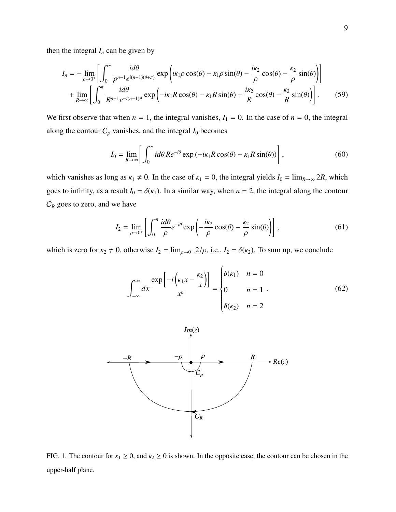then the integral  $I_n$  can be given by

$$
I_n = -\lim_{\rho \to 0^+} \left[ \int_0^{\pi} \frac{i d\theta}{\rho^{n-1} e^{i(n-1)(\theta+\pi)}} \exp\left( i\kappa_1 \rho \cos(\theta) - \kappa_1 \rho \sin(\theta) - \frac{i\kappa_2}{\rho} \cos(\theta) - \frac{\kappa_2}{\rho} \sin(\theta) \right) \right]
$$
  
+ 
$$
\lim_{R \to \infty} \left[ \int_0^{\pi} \frac{i d\theta}{R^{n-1} e^{-i(n-1)\theta}} \exp\left( -i\kappa_1 R \cos(\theta) - \kappa_1 R \sin(\theta) + \frac{i\kappa_2}{R} \cos(\theta) - \frac{\kappa_2}{R} \sin(\theta) \right) \right].
$$
 (59)

We first observe that when  $n = 1$ , the integral vanishes,  $I_1 = 0$ . In the case of  $n = 0$ , the integral along the contour  $C_\rho$  vanishes, and the integral  $I_0$  becomes

$$
I_0 = \lim_{R \to \infty} \left[ \int_0^{\pi} i d\theta \, R e^{-i\theta} \exp\left(-i\kappa_1 R \cos(\theta) - \kappa_1 R \sin(\theta)\right) \right],\tag{60}
$$

which vanishes as long as  $\kappa_1 \neq 0$ . In the case of  $\kappa_1 = 0$ , the integral yields  $I_0 = \lim_{R \to \infty} 2R$ , which goes to infinity, as a result  $I_0 = \delta(\kappa_1)$ . In a similar way, when  $n = 2$ , the integral along the contour  $C_R$  goes to zero, and we have

$$
I_2 = \lim_{\rho \to 0^+} \left[ \int_0^{\pi} \frac{i d\theta}{\rho} e^{-i\theta} \exp\left( -\frac{i\kappa_2}{\rho} \cos(\theta) - \frac{\kappa_2}{\rho} \sin(\theta) \right) \right],
$$
 (61)

which is zero for  $\kappa_2 \neq 0$ , otherwise  $I_2 = \lim_{\rho \to 0^+} 2/\rho$ , i.e.,  $I_2 = \delta(\kappa_2)$ . To sum up, we conclude

$$
\int_{-\infty}^{\infty} dx \frac{\exp\left[-i\left(\kappa_1 x - \frac{\kappa_2}{x}\right)\right]}{x^n} = \begin{cases} \delta(\kappa_1) & n = 0 \\ 0 & n = 1 \\ \delta(\kappa_2) & n = 2 \end{cases} \tag{62}
$$



<span id="page-8-0"></span>FIG. 1. The contour for  $\kappa_1 \ge 0$ , and  $\kappa_2 \ge 0$  is shown. In the opposite case, the contour can be chosen in the upper-half plane.